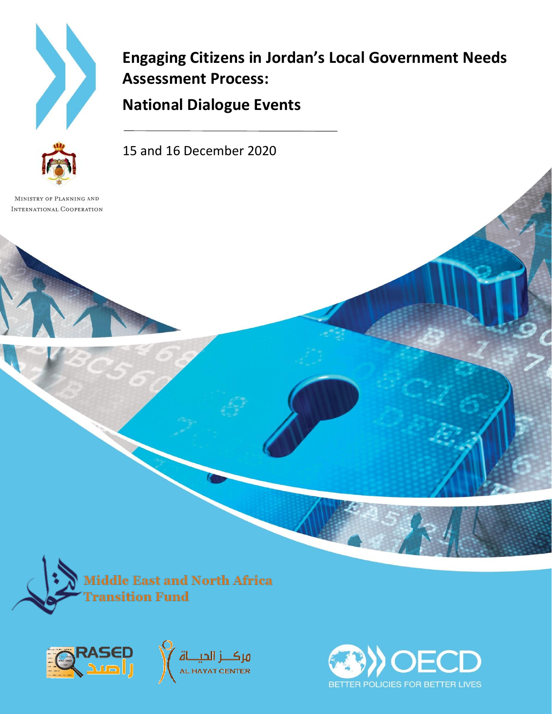

**Engaging Citizens in Jordan's Local Government Needs Assessment Process:**

**National Dialogue Events**

15 and 16 December 2020

MINISTRY OF PLANNING AND INTERNATIONAL COOPERATION



Middle East and North Africa ransition Fund





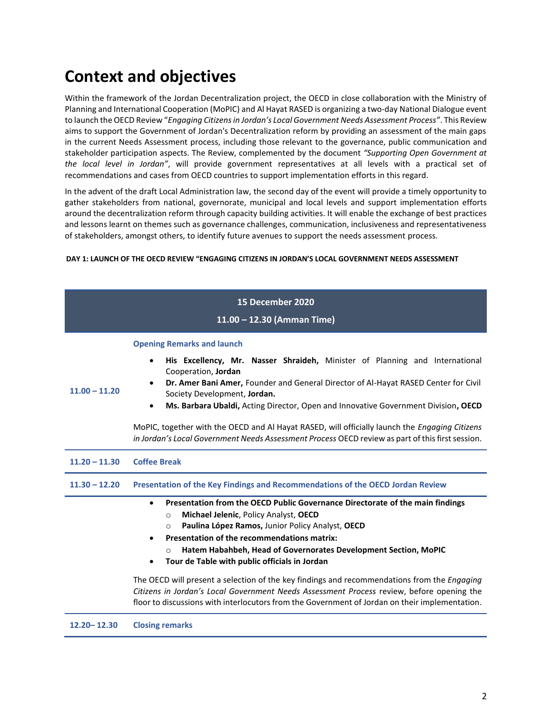# **Context and objectives**

Within the framework of the Jordan Decentralization project, the OECD in close collaboration with the Ministry of Planning and International Cooperation (MoPIC) and Al Hayat RASED is organizing a two-day National Dialogue event to launch the OECD Review "*Engaging Citizens in Jordan's Local Government Needs Assessment Process"*. This Review aims to support the Government of Jordan's Decentralization reform by providing an assessment of the main gaps in the current Needs Assessment process, including those relevant to the governance, public communication and stakeholder participation aspects. The Review, complemented by the document *"Supporting Open Government at the local level in Jordan"*, will provide government representatives at all levels with a practical set of recommendations and cases from OECD countries to support implementation efforts in this regard.

In the advent of the draft Local Administration law, the second day of the event will provide a timely opportunity to gather stakeholders from national, governorate, municipal and local levels and support implementation efforts around the decentralization reform through capacity building activities. It will enable the exchange of best practices and lessons learnt on themes such as governance challenges, communication, inclusiveness and representativeness of stakeholders, amongst others, to identify future avenues to support the needs assessment process.

## **DAY 1: LAUNCH OF THE OECD REVIEW "ENGAGING CITIZENS IN JORDAN'S LOCAL GOVERNMENT NEEDS ASSESSMENT**

|                 | 15 December 2020                                                                                                                 |
|-----------------|----------------------------------------------------------------------------------------------------------------------------------|
|                 | 11.00 - 12.30 (Amman Time)                                                                                                       |
|                 |                                                                                                                                  |
| $11.00 - 11.20$ | <b>Opening Remarks and launch</b>                                                                                                |
|                 | His Excellency, Mr. Nasser Shraideh, Minister of Planning and International<br>$\bullet$<br>Cooperation, Jordan                  |
|                 | Dr. Amer Bani Amer, Founder and General Director of Al-Hayat RASED Center for Civil<br>$\bullet$<br>Society Development, Jordan. |
|                 | Ms. Barbara Ubaldi, Acting Director, Open and Innovative Government Division, OECD<br>$\bullet$                                  |
|                 | MoPIC, together with the OECD and Al Hayat RASED, will officially launch the <i>Engaging Citizens</i>                            |
|                 | in Jordan's Local Government Needs Assessment Process OECD review as part of this first session.                                 |
| $11.20 - 11.30$ | <b>Coffee Break</b>                                                                                                              |
| $11.30 - 12.20$ | Presentation of the Key Findings and Recommendations of the OECD Jordan Review                                                   |
|                 | Presentation from the OECD Public Governance Directorate of the main findings<br>$\bullet$                                       |
|                 | Michael Jelenic, Policy Analyst, OECD<br>$\Omega$                                                                                |
|                 | Paulina López Ramos, Junior Policy Analyst, OECD<br>$\circ$                                                                      |
|                 | Presentation of the recommendations matrix:<br>$\bullet$                                                                         |
|                 | Hatem Habahbeh, Head of Governorates Development Section, MoPIC<br>$\Omega$                                                      |
|                 | Tour de Table with public officials in Jordan                                                                                    |
|                 | The OECD will present a selection of the key findings and recommendations from the <i>Engaging</i>                               |
|                 | Citizens in Jordan's Local Government Needs Assessment Process review, before opening the                                        |
|                 | floor to discussions with interlocutors from the Government of Jordan on their implementation.                                   |
|                 |                                                                                                                                  |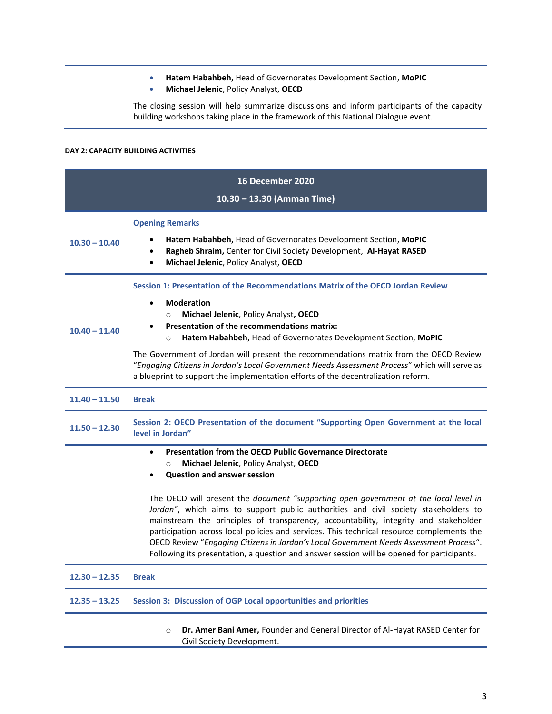- **Hatem Habahbeh,** Head of Governorates Development Section, **MoPIC**
- **Michael Jelenic**, Policy Analyst, **OECD**

The closing session will help summarize discussions and inform participants of the capacity building workshops taking place in the framework of this National Dialogue event.

## **DAY 2: CAPACITY BUILDING ACTIVITIES**

| <b>16 December 2020</b>    |                                                                                                                                                                                                                                                                                                                                                                                                                                                                                                                                                          |
|----------------------------|----------------------------------------------------------------------------------------------------------------------------------------------------------------------------------------------------------------------------------------------------------------------------------------------------------------------------------------------------------------------------------------------------------------------------------------------------------------------------------------------------------------------------------------------------------|
| 10.30 - 13.30 (Amman Time) |                                                                                                                                                                                                                                                                                                                                                                                                                                                                                                                                                          |
| $10.30 - 10.40$            | <b>Opening Remarks</b><br>Hatem Habahbeh, Head of Governorates Development Section, MoPIC<br>Ragheb Shraim, Center for Civil Society Development, Al-Hayat RASED<br>$\bullet$<br>Michael Jelenic, Policy Analyst, OECD<br>$\bullet$                                                                                                                                                                                                                                                                                                                      |
| $10.40 - 11.40$            | Session 1: Presentation of the Recommendations Matrix of the OECD Jordan Review<br><b>Moderation</b><br>$\bullet$<br>Michael Jelenic, Policy Analyst, OECD<br>$\circ$<br><b>Presentation of the recommendations matrix:</b><br>Hatem Habahbeh, Head of Governorates Development Section, MoPIC<br>$\circ$                                                                                                                                                                                                                                                |
|                            | The Government of Jordan will present the recommendations matrix from the OECD Review<br>"Engaging Citizens in Jordan's Local Government Needs Assessment Process" which will serve as<br>a blueprint to support the implementation efforts of the decentralization reform.                                                                                                                                                                                                                                                                              |
| $11.40 - 11.50$            | <b>Break</b>                                                                                                                                                                                                                                                                                                                                                                                                                                                                                                                                             |
| $11.50 - 12.30$            | Session 2: OECD Presentation of the document "Supporting Open Government at the local<br>level in Jordan"                                                                                                                                                                                                                                                                                                                                                                                                                                                |
|                            | <b>Presentation from the OECD Public Governance Directorate</b><br>$\bullet$<br>Michael Jelenic, Policy Analyst, OECD<br>$\circ$<br><b>Question and answer session</b>                                                                                                                                                                                                                                                                                                                                                                                   |
|                            | The OECD will present the document "supporting open government at the local level in<br>Jordan", which aims to support public authorities and civil society stakeholders to<br>mainstream the principles of transparency, accountability, integrity and stakeholder<br>participation across local policies and services. This technical resource complements the<br>OECD Review "Engaging Citizens in Jordan's Local Government Needs Assessment Process".<br>Following its presentation, a question and answer session will be opened for participants. |
| $12.30 - 12.35$            | <b>Break</b>                                                                                                                                                                                                                                                                                                                                                                                                                                                                                                                                             |
| $12.35 - 13.25$            | Session 3: Discussion of OGP Local opportunities and priorities                                                                                                                                                                                                                                                                                                                                                                                                                                                                                          |
|                            | Dr. Amer Bani Amer, Founder and General Director of Al-Hayat RASED Center for<br>$\circ$<br>Civil Society Development.                                                                                                                                                                                                                                                                                                                                                                                                                                   |